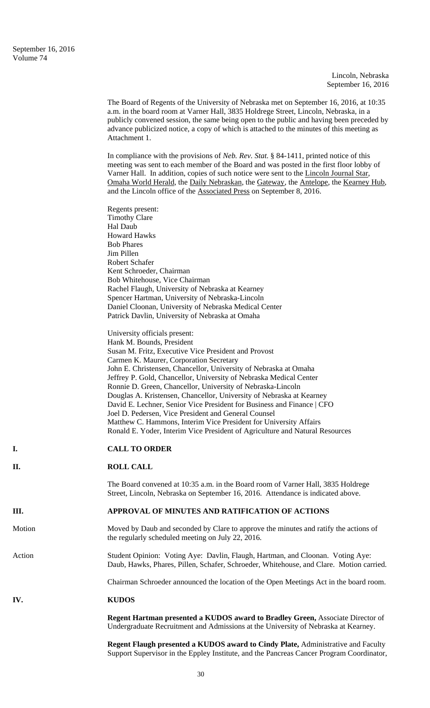|        | The Board of Regents of the University of Nebraska met on September 16, 2016, at 10:35<br>a.m. in the board room at Varner Hall, 3835 Holdrege Street, Lincoln, Nebraska, in a<br>publicly convened session, the same being open to the public and having been preceded by<br>advance publicized notice, a copy of which is attached to the minutes of this meeting as<br>Attachment 1.                                                                    |
|--------|------------------------------------------------------------------------------------------------------------------------------------------------------------------------------------------------------------------------------------------------------------------------------------------------------------------------------------------------------------------------------------------------------------------------------------------------------------|
|        | In compliance with the provisions of <i>Neb. Rev. Stat.</i> § 84-1411, printed notice of this<br>meeting was sent to each member of the Board and was posted in the first floor lobby of<br>Varner Hall. In addition, copies of such notice were sent to the Lincoln Journal Star,<br><u>Omaha World Herald</u> , the Daily Nebraskan, the Gateway, the Antelope, the Kearney Hub,<br>and the Lincoln office of the Associated Press on September 8, 2016. |
|        | Regents present:                                                                                                                                                                                                                                                                                                                                                                                                                                           |
|        | <b>Timothy Clare</b>                                                                                                                                                                                                                                                                                                                                                                                                                                       |
|        | Hal Daub                                                                                                                                                                                                                                                                                                                                                                                                                                                   |
|        | <b>Howard Hawks</b><br><b>Bob Phares</b>                                                                                                                                                                                                                                                                                                                                                                                                                   |
|        | Jim Pillen                                                                                                                                                                                                                                                                                                                                                                                                                                                 |
|        | Robert Schafer                                                                                                                                                                                                                                                                                                                                                                                                                                             |
|        | Kent Schroeder, Chairman                                                                                                                                                                                                                                                                                                                                                                                                                                   |
|        | Bob Whitehouse, Vice Chairman                                                                                                                                                                                                                                                                                                                                                                                                                              |
|        | Rachel Flaugh, University of Nebraska at Kearney<br>Spencer Hartman, University of Nebraska-Lincoln                                                                                                                                                                                                                                                                                                                                                        |
|        | Daniel Cloonan, University of Nebraska Medical Center                                                                                                                                                                                                                                                                                                                                                                                                      |
|        | Patrick Davlin, University of Nebraska at Omaha                                                                                                                                                                                                                                                                                                                                                                                                            |
|        | University officials present:                                                                                                                                                                                                                                                                                                                                                                                                                              |
|        | Hank M. Bounds, President                                                                                                                                                                                                                                                                                                                                                                                                                                  |
|        | Susan M. Fritz, Executive Vice President and Provost                                                                                                                                                                                                                                                                                                                                                                                                       |
|        | Carmen K. Maurer, Corporation Secretary<br>John E. Christensen, Chancellor, University of Nebraska at Omaha                                                                                                                                                                                                                                                                                                                                                |
|        | Jeffrey P. Gold, Chancellor, University of Nebraska Medical Center                                                                                                                                                                                                                                                                                                                                                                                         |
|        | Ronnie D. Green, Chancellor, University of Nebraska-Lincoln                                                                                                                                                                                                                                                                                                                                                                                                |
|        | Douglas A. Kristensen, Chancellor, University of Nebraska at Kearney                                                                                                                                                                                                                                                                                                                                                                                       |
|        | David E. Lechner, Senior Vice President for Business and Finance   CFO                                                                                                                                                                                                                                                                                                                                                                                     |
|        | Joel D. Pedersen, Vice President and General Counsel<br>Matthew C. Hammons, Interim Vice President for University Affairs                                                                                                                                                                                                                                                                                                                                  |
|        | Ronald E. Yoder, Interim Vice President of Agriculture and Natural Resources                                                                                                                                                                                                                                                                                                                                                                               |
| I.     | <b>CALL TO ORDER</b>                                                                                                                                                                                                                                                                                                                                                                                                                                       |
| П.     | <b>ROLL CALL</b>                                                                                                                                                                                                                                                                                                                                                                                                                                           |
|        | The Board convened at 10:35 a.m. in the Board room of Varner Hall, 3835 Holdrege<br>Street, Lincoln, Nebraska on September 16, 2016. Attendance is indicated above.                                                                                                                                                                                                                                                                                        |
| Ш.     | APPROVAL OF MINUTES AND RATIFICATION OF ACTIONS                                                                                                                                                                                                                                                                                                                                                                                                            |
| Motion | Moved by Daub and seconded by Clare to approve the minutes and ratify the actions of<br>the regularly scheduled meeting on July 22, 2016.                                                                                                                                                                                                                                                                                                                  |
| Action | Student Opinion: Voting Aye: Davlin, Flaugh, Hartman, and Cloonan. Voting Aye:<br>Daub, Hawks, Phares, Pillen, Schafer, Schroeder, Whitehouse, and Clare. Motion carried.                                                                                                                                                                                                                                                                                  |
|        | Chairman Schroeder announced the location of the Open Meetings Act in the board room.                                                                                                                                                                                                                                                                                                                                                                      |
| IV.    | <b>KUDOS</b>                                                                                                                                                                                                                                                                                                                                                                                                                                               |
|        | Regent Hartman presented a KUDOS award to Bradley Green, Associate Director of<br>Undergraduate Recruitment and Admissions at the University of Nebraska at Kearney.                                                                                                                                                                                                                                                                                       |
|        | <b>Regard Flough presented a KUDOS award to Cindy Plate</b> Administrative and Faculty                                                                                                                                                                                                                                                                                                                                                                     |

**Regent Flaugh presented a KUDOS award to Cindy Plate,** Administrative and Faculty Support Supervisor in the Eppley Institute, and the Pancreas Cancer Program Coordinator,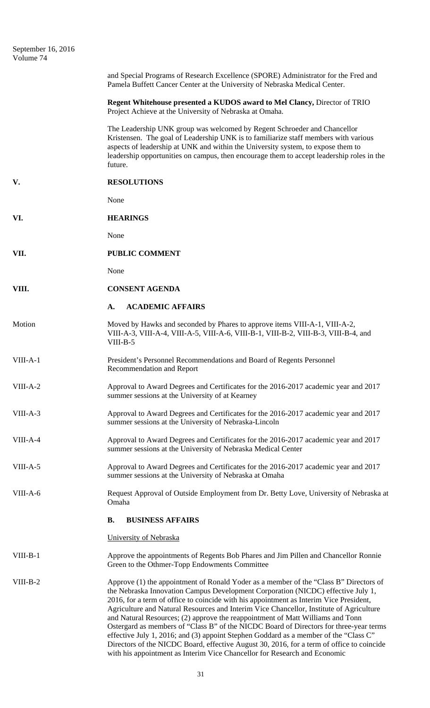| September 16, 2016<br>Volume 74 |                                                                                                                                                                                                                                                                                                                                                                                                                                                                                                                                                                                                                                                                                                                                                                                                              |
|---------------------------------|--------------------------------------------------------------------------------------------------------------------------------------------------------------------------------------------------------------------------------------------------------------------------------------------------------------------------------------------------------------------------------------------------------------------------------------------------------------------------------------------------------------------------------------------------------------------------------------------------------------------------------------------------------------------------------------------------------------------------------------------------------------------------------------------------------------|
|                                 | and Special Programs of Research Excellence (SPORE) Administrator for the Fred and<br>Pamela Buffett Cancer Center at the University of Nebraska Medical Center.                                                                                                                                                                                                                                                                                                                                                                                                                                                                                                                                                                                                                                             |
|                                 | Regent Whitehouse presented a KUDOS award to Mel Clancy, Director of TRIO<br>Project Achieve at the University of Nebraska at Omaha.                                                                                                                                                                                                                                                                                                                                                                                                                                                                                                                                                                                                                                                                         |
|                                 | The Leadership UNK group was welcomed by Regent Schroeder and Chancellor<br>Kristensen. The goal of Leadership UNK is to familiarize staff members with various<br>aspects of leadership at UNK and within the University system, to expose them to<br>leadership opportunities on campus, then encourage them to accept leadership roles in the<br>future.                                                                                                                                                                                                                                                                                                                                                                                                                                                  |
| V.                              | <b>RESOLUTIONS</b>                                                                                                                                                                                                                                                                                                                                                                                                                                                                                                                                                                                                                                                                                                                                                                                           |
|                                 | None                                                                                                                                                                                                                                                                                                                                                                                                                                                                                                                                                                                                                                                                                                                                                                                                         |
| VI.                             | <b>HEARINGS</b>                                                                                                                                                                                                                                                                                                                                                                                                                                                                                                                                                                                                                                                                                                                                                                                              |
|                                 | None                                                                                                                                                                                                                                                                                                                                                                                                                                                                                                                                                                                                                                                                                                                                                                                                         |
| VII.                            | <b>PUBLIC COMMENT</b>                                                                                                                                                                                                                                                                                                                                                                                                                                                                                                                                                                                                                                                                                                                                                                                        |
|                                 | None                                                                                                                                                                                                                                                                                                                                                                                                                                                                                                                                                                                                                                                                                                                                                                                                         |
| VIII.                           | <b>CONSENT AGENDA</b>                                                                                                                                                                                                                                                                                                                                                                                                                                                                                                                                                                                                                                                                                                                                                                                        |
|                                 | <b>ACADEMIC AFFAIRS</b><br>A.                                                                                                                                                                                                                                                                                                                                                                                                                                                                                                                                                                                                                                                                                                                                                                                |
| Motion                          | Moved by Hawks and seconded by Phares to approve items VIII-A-1, VIII-A-2,<br>VIII-A-3, VIII-A-4, VIII-A-5, VIII-A-6, VIII-B-1, VIII-B-2, VIII-B-3, VIII-B-4, and<br>$VIII-B-5$                                                                                                                                                                                                                                                                                                                                                                                                                                                                                                                                                                                                                              |
| VIII-A-1                        | President's Personnel Recommendations and Board of Regents Personnel<br>Recommendation and Report                                                                                                                                                                                                                                                                                                                                                                                                                                                                                                                                                                                                                                                                                                            |
| $VIII-A-2$                      | Approval to Award Degrees and Certificates for the 2016-2017 academic year and 2017<br>summer sessions at the University of at Kearney                                                                                                                                                                                                                                                                                                                                                                                                                                                                                                                                                                                                                                                                       |
| VIII-A-3                        | Approval to Award Degrees and Certificates for the 2016-2017 academic year and 2017<br>summer sessions at the University of Nebraska-Lincoln                                                                                                                                                                                                                                                                                                                                                                                                                                                                                                                                                                                                                                                                 |
| VIII-A-4                        | Approval to Award Degrees and Certificates for the 2016-2017 academic year and 2017<br>summer sessions at the University of Nebraska Medical Center                                                                                                                                                                                                                                                                                                                                                                                                                                                                                                                                                                                                                                                          |
| VIII-A-5                        | Approval to Award Degrees and Certificates for the 2016-2017 academic year and 2017<br>summer sessions at the University of Nebraska at Omaha                                                                                                                                                                                                                                                                                                                                                                                                                                                                                                                                                                                                                                                                |
| VIII-A-6                        | Request Approval of Outside Employment from Dr. Betty Love, University of Nebraska at<br>Omaha                                                                                                                                                                                                                                                                                                                                                                                                                                                                                                                                                                                                                                                                                                               |
|                                 | <b>B.</b><br><b>BUSINESS AFFAIRS</b>                                                                                                                                                                                                                                                                                                                                                                                                                                                                                                                                                                                                                                                                                                                                                                         |
|                                 | University of Nebraska                                                                                                                                                                                                                                                                                                                                                                                                                                                                                                                                                                                                                                                                                                                                                                                       |
| $VIII-B-1$                      | Approve the appointments of Regents Bob Phares and Jim Pillen and Chancellor Ronnie<br>Green to the Othmer-Topp Endowments Committee                                                                                                                                                                                                                                                                                                                                                                                                                                                                                                                                                                                                                                                                         |
| $VIII-B-2$                      | Approve (1) the appointment of Ronald Yoder as a member of the "Class B" Directors of<br>the Nebraska Innovation Campus Development Corporation (NICDC) effective July 1,<br>2016, for a term of office to coincide with his appointment as Interim Vice President,<br>Agriculture and Natural Resources and Interim Vice Chancellor, Institute of Agriculture<br>and Natural Resources; (2) approve the reappointment of Matt Williams and Tonn<br>Ostergard as members of "Class B" of the NICDC Board of Directors for three-year terms<br>effective July 1, 2016; and (3) appoint Stephen Goddard as a member of the "Class C"<br>Directors of the NICDC Board, effective August 30, 2016, for a term of office to coincide<br>with his appointment as Interim Vice Chancellor for Research and Economic |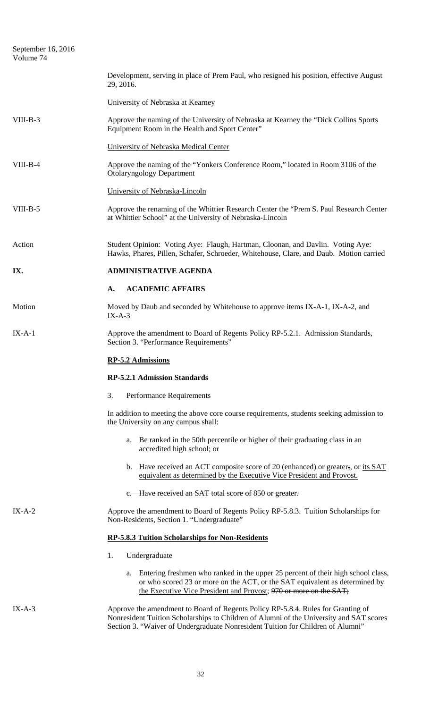| September 16, 2016<br>Volume 74 |                                                                                                                                                                                                                                                                |
|---------------------------------|----------------------------------------------------------------------------------------------------------------------------------------------------------------------------------------------------------------------------------------------------------------|
|                                 | Development, serving in place of Prem Paul, who resigned his position, effective August<br>29, 2016.                                                                                                                                                           |
|                                 | University of Nebraska at Kearney                                                                                                                                                                                                                              |
| $VIII-B-3$                      | Approve the naming of the University of Nebraska at Kearney the "Dick Collins Sports"<br>Equipment Room in the Health and Sport Center"                                                                                                                        |
|                                 | University of Nebraska Medical Center                                                                                                                                                                                                                          |
| $VIII-B-4$                      | Approve the naming of the "Yonkers Conference Room," located in Room 3106 of the<br><b>Otolaryngology Department</b>                                                                                                                                           |
|                                 | University of Nebraska-Lincoln                                                                                                                                                                                                                                 |
| VIII-B-5                        | Approve the renaming of the Whittier Research Center the "Prem S. Paul Research Center"<br>at Whittier School" at the University of Nebraska-Lincoln                                                                                                           |
| Action                          | Student Opinion: Voting Aye: Flaugh, Hartman, Cloonan, and Davlin. Voting Aye:<br>Hawks, Phares, Pillen, Schafer, Schroeder, Whitehouse, Clare, and Daub. Motion carried                                                                                       |
| IX.                             | <b>ADMINISTRATIVE AGENDA</b>                                                                                                                                                                                                                                   |
|                                 | <b>ACADEMIC AFFAIRS</b><br>A.                                                                                                                                                                                                                                  |
| Motion                          | Moved by Daub and seconded by Whitehouse to approve items IX-A-1, IX-A-2, and<br>$IX-A-3$                                                                                                                                                                      |
| $IX-A-1$                        | Approve the amendment to Board of Regents Policy RP-5.2.1. Admission Standards,<br>Section 3. "Performance Requirements"                                                                                                                                       |
|                                 | <b>RP-5.2 Admissions</b>                                                                                                                                                                                                                                       |
|                                 | <b>RP-5.2.1 Admission Standards</b>                                                                                                                                                                                                                            |
|                                 | 3.<br><b>Performance Requirements</b>                                                                                                                                                                                                                          |
|                                 | In addition to meeting the above core course requirements, students seeking admission to<br>the University on any campus shall:                                                                                                                                |
|                                 | Be ranked in the 50th percentile or higher of their graduating class in an<br>a.<br>accredited high school; or                                                                                                                                                 |
|                                 | b. Have received an ACT composite score of 20 (enhanced) or greater;, or its SAT<br>equivalent as determined by the Executive Vice President and Provost.                                                                                                      |
|                                 | e. Have received an SAT total score of 850 or greater.                                                                                                                                                                                                         |
| $IX-A-2$                        | Approve the amendment to Board of Regents Policy RP-5.8.3. Tuition Scholarships for<br>Non-Residents, Section 1. "Undergraduate"                                                                                                                               |
|                                 | <b>RP-5.8.3 Tuition Scholarships for Non-Residents</b>                                                                                                                                                                                                         |
|                                 | 1.<br>Undergraduate                                                                                                                                                                                                                                            |
|                                 | Entering freshmen who ranked in the upper 25 percent of their high school class,<br>a.<br>or who scored 23 or more on the ACT, or the SAT equivalent as determined by<br>the Executive Vice President and Provost; 970 or more on the SAT;                     |
| $IX-A-3$                        | Approve the amendment to Board of Regents Policy RP-5.8.4. Rules for Granting of<br>Nonresident Tuition Scholarships to Children of Alumni of the University and SAT scores<br>Section 3. "Waiver of Undergraduate Nonresident Tuition for Children of Alumni" |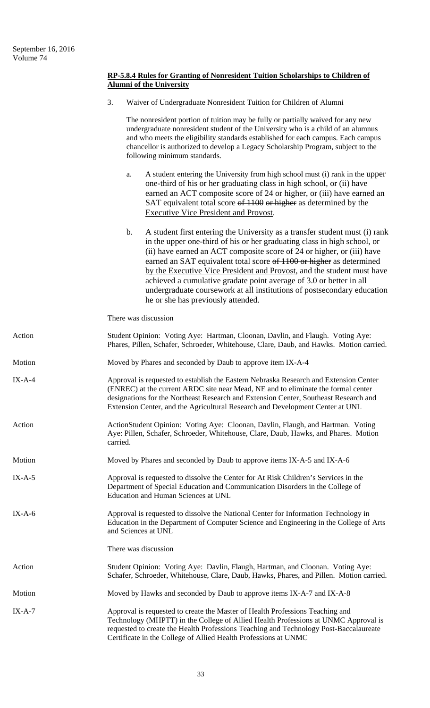## **RP-5.8.4 Rules for Granting of Nonresident Tuition Scholarships to Children of Alumni of the University**

|          | 3.<br>Waiver of Undergraduate Nonresident Tuition for Children of Alumni                                                                                                                                                                                                                                                                                                                                                                                                                                                                                                                     |
|----------|----------------------------------------------------------------------------------------------------------------------------------------------------------------------------------------------------------------------------------------------------------------------------------------------------------------------------------------------------------------------------------------------------------------------------------------------------------------------------------------------------------------------------------------------------------------------------------------------|
|          | The nonresident portion of tuition may be fully or partially waived for any new<br>undergraduate nonresident student of the University who is a child of an alumnus<br>and who meets the eligibility standards established for each campus. Each campus<br>chancellor is authorized to develop a Legacy Scholarship Program, subject to the<br>following minimum standards.                                                                                                                                                                                                                  |
|          | A student entering the University from high school must (i) rank in the upper<br>a.<br>one-third of his or her graduating class in high school, or (ii) have<br>earned an ACT composite score of 24 or higher, or (iii) have earned an<br>SAT equivalent total score of 1100 or higher as determined by the<br><b>Executive Vice President and Provost.</b>                                                                                                                                                                                                                                  |
|          | $\mathbf b$ .<br>A student first entering the University as a transfer student must (i) rank<br>in the upper one-third of his or her graduating class in high school, or<br>(ii) have earned an ACT composite score of 24 or higher, or (iii) have<br>earned an SAT equivalent total score of 1100 or higher as determined<br>by the Executive Vice President and Provost, and the student must have<br>achieved a cumulative gradate point average of 3.0 or better in all<br>undergraduate coursework at all institutions of postsecondary education<br>he or she has previously attended. |
|          | There was discussion                                                                                                                                                                                                                                                                                                                                                                                                                                                                                                                                                                         |
| Action   | Student Opinion: Voting Aye: Hartman, Cloonan, Davlin, and Flaugh. Voting Aye:<br>Phares, Pillen, Schafer, Schroeder, Whitehouse, Clare, Daub, and Hawks. Motion carried.                                                                                                                                                                                                                                                                                                                                                                                                                    |
| Motion   | Moved by Phares and seconded by Daub to approve item IX-A-4                                                                                                                                                                                                                                                                                                                                                                                                                                                                                                                                  |
| $IX-A-4$ | Approval is requested to establish the Eastern Nebraska Research and Extension Center<br>(ENREC) at the current ARDC site near Mead, NE and to eliminate the formal center<br>designations for the Northeast Research and Extension Center, Southeast Research and<br>Extension Center, and the Agricultural Research and Development Center at UNL                                                                                                                                                                                                                                          |
| Action   | ActionStudent Opinion: Voting Aye: Cloonan, Davlin, Flaugh, and Hartman. Voting<br>Aye: Pillen, Schafer, Schroeder, Whitehouse, Clare, Daub, Hawks, and Phares. Motion<br>carried.                                                                                                                                                                                                                                                                                                                                                                                                           |
| Motion   | Moved by Phares and seconded by Daub to approve items IX-A-5 and IX-A-6                                                                                                                                                                                                                                                                                                                                                                                                                                                                                                                      |
| $IX-A-5$ | Approval is requested to dissolve the Center for At Risk Children's Services in the<br>Department of Special Education and Communication Disorders in the College of<br>Education and Human Sciences at UNL                                                                                                                                                                                                                                                                                                                                                                                  |
| $IX-A-6$ | Approval is requested to dissolve the National Center for Information Technology in<br>Education in the Department of Computer Science and Engineering in the College of Arts<br>and Sciences at UNL                                                                                                                                                                                                                                                                                                                                                                                         |
|          | There was discussion                                                                                                                                                                                                                                                                                                                                                                                                                                                                                                                                                                         |
| Action   | Student Opinion: Voting Aye: Davlin, Flaugh, Hartman, and Cloonan. Voting Aye:<br>Schafer, Schroeder, Whitehouse, Clare, Daub, Hawks, Phares, and Pillen. Motion carried.                                                                                                                                                                                                                                                                                                                                                                                                                    |
| Motion   | Moved by Hawks and seconded by Daub to approve items IX-A-7 and IX-A-8                                                                                                                                                                                                                                                                                                                                                                                                                                                                                                                       |
| $IX-A-7$ | Approval is requested to create the Master of Health Professions Teaching and<br>Technology (MHPTT) in the College of Allied Health Professions at UNMC Approval is<br>requested to create the Health Professions Teaching and Technology Post-Baccalaureate<br>Certificate in the College of Allied Health Professions at UNMC                                                                                                                                                                                                                                                              |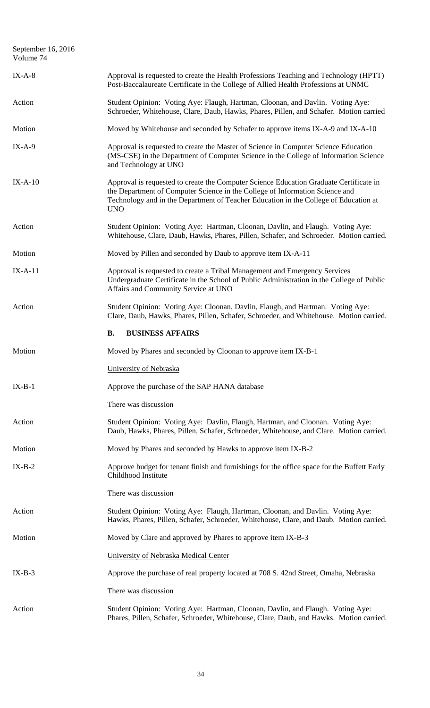| September 16, 2016<br>Volume 74 |                                                                                                                                                                                                                                                                              |
|---------------------------------|------------------------------------------------------------------------------------------------------------------------------------------------------------------------------------------------------------------------------------------------------------------------------|
| $IX-A-8$                        | Approval is requested to create the Health Professions Teaching and Technology (HPTT)<br>Post-Baccalaureate Certificate in the College of Allied Health Professions at UNMC                                                                                                  |
| Action                          | Student Opinion: Voting Aye: Flaugh, Hartman, Cloonan, and Davlin. Voting Aye:<br>Schroeder, Whitehouse, Clare, Daub, Hawks, Phares, Pillen, and Schafer. Motion carried                                                                                                     |
| Motion                          | Moved by Whitehouse and seconded by Schafer to approve items IX-A-9 and IX-A-10                                                                                                                                                                                              |
| $IX-A-9$                        | Approval is requested to create the Master of Science in Computer Science Education<br>(MS-CSE) in the Department of Computer Science in the College of Information Science<br>and Technology at UNO                                                                         |
| $IX-A-10$                       | Approval is requested to create the Computer Science Education Graduate Certificate in<br>the Department of Computer Science in the College of Information Science and<br>Technology and in the Department of Teacher Education in the College of Education at<br><b>UNO</b> |
| Action                          | Student Opinion: Voting Aye: Hartman, Cloonan, Davlin, and Flaugh. Voting Aye:<br>Whitehouse, Clare, Daub, Hawks, Phares, Pillen, Schafer, and Schroeder. Motion carried.                                                                                                    |
| Motion                          | Moved by Pillen and seconded by Daub to approve item IX-A-11                                                                                                                                                                                                                 |
| $IX-A-11$                       | Approval is requested to create a Tribal Management and Emergency Services<br>Undergraduate Certificate in the School of Public Administration in the College of Public<br>Affairs and Community Service at UNO                                                              |
| Action                          | Student Opinion: Voting Aye: Cloonan, Davlin, Flaugh, and Hartman. Voting Aye:<br>Clare, Daub, Hawks, Phares, Pillen, Schafer, Schroeder, and Whitehouse. Motion carried.                                                                                                    |
|                                 | <b>BUSINESS AFFAIRS</b><br><b>B.</b>                                                                                                                                                                                                                                         |
| Motion                          | Moved by Phares and seconded by Cloonan to approve item IX-B-1                                                                                                                                                                                                               |
|                                 | University of Nebraska                                                                                                                                                                                                                                                       |
| $IX-B-1$                        | Approve the purchase of the SAP HANA database                                                                                                                                                                                                                                |
|                                 | There was discussion                                                                                                                                                                                                                                                         |
| Action                          | Student Opinion: Voting Aye: Davlin, Flaugh, Hartman, and Cloonan. Voting Aye:<br>Daub, Hawks, Phares, Pillen, Schafer, Schroeder, Whitehouse, and Clare. Motion carried.                                                                                                    |
| Motion                          | Moved by Phares and seconded by Hawks to approve item IX-B-2                                                                                                                                                                                                                 |
| $IX-B-2$                        | Approve budget for tenant finish and furnishings for the office space for the Buffett Early<br>Childhood Institute                                                                                                                                                           |
|                                 | There was discussion                                                                                                                                                                                                                                                         |
| Action                          | Student Opinion: Voting Aye: Flaugh, Hartman, Cloonan, and Davlin. Voting Aye:<br>Hawks, Phares, Pillen, Schafer, Schroeder, Whitehouse, Clare, and Daub. Motion carried.                                                                                                    |
| Motion                          | Moved by Clare and approved by Phares to approve item IX-B-3                                                                                                                                                                                                                 |
|                                 | University of Nebraska Medical Center                                                                                                                                                                                                                                        |
| $IX-B-3$                        | Approve the purchase of real property located at 708 S. 42nd Street, Omaha, Nebraska                                                                                                                                                                                         |
|                                 | There was discussion                                                                                                                                                                                                                                                         |
| Action                          | Student Opinion: Voting Aye: Hartman, Cloonan, Davlin, and Flaugh. Voting Aye:<br>Phares, Pillen, Schafer, Schroeder, Whitehouse, Clare, Daub, and Hawks. Motion carried.                                                                                                    |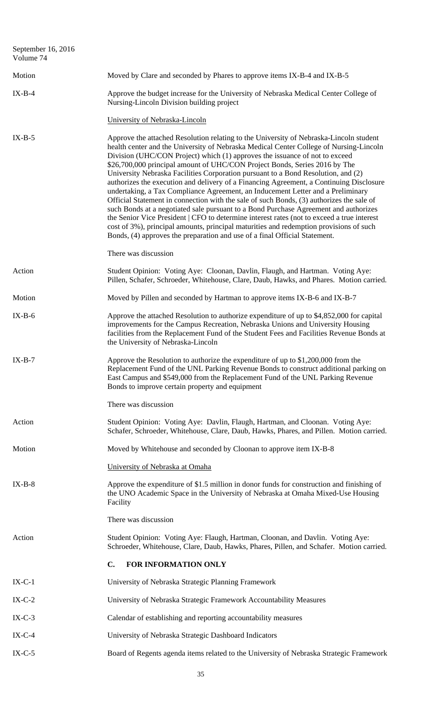| September 16, 2016<br>Volume 74 |                                                                                                                                                                                                                                                                                                                                                                                                                                                                                                                                                                                                                                                                                                                                                                                                                                                                                                                                                                                                                                                                            |
|---------------------------------|----------------------------------------------------------------------------------------------------------------------------------------------------------------------------------------------------------------------------------------------------------------------------------------------------------------------------------------------------------------------------------------------------------------------------------------------------------------------------------------------------------------------------------------------------------------------------------------------------------------------------------------------------------------------------------------------------------------------------------------------------------------------------------------------------------------------------------------------------------------------------------------------------------------------------------------------------------------------------------------------------------------------------------------------------------------------------|
| Motion                          | Moved by Clare and seconded by Phares to approve items IX-B-4 and IX-B-5                                                                                                                                                                                                                                                                                                                                                                                                                                                                                                                                                                                                                                                                                                                                                                                                                                                                                                                                                                                                   |
| $IX-B-4$                        | Approve the budget increase for the University of Nebraska Medical Center College of<br>Nursing-Lincoln Division building project                                                                                                                                                                                                                                                                                                                                                                                                                                                                                                                                                                                                                                                                                                                                                                                                                                                                                                                                          |
|                                 | University of Nebraska-Lincoln                                                                                                                                                                                                                                                                                                                                                                                                                                                                                                                                                                                                                                                                                                                                                                                                                                                                                                                                                                                                                                             |
| $IX-B-5$                        | Approve the attached Resolution relating to the University of Nebraska-Lincoln student<br>health center and the University of Nebraska Medical Center College of Nursing-Lincoln<br>Division (UHC/CON Project) which (1) approves the issuance of not to exceed<br>\$26,700,000 principal amount of UHC/CON Project Bonds, Series 2016 by The<br>University Nebraska Facilities Corporation pursuant to a Bond Resolution, and (2)<br>authorizes the execution and delivery of a Financing Agreement, a Continuing Disclosure<br>undertaking, a Tax Compliance Agreement, an Inducement Letter and a Preliminary<br>Official Statement in connection with the sale of such Bonds, (3) authorizes the sale of<br>such Bonds at a negotiated sale pursuant to a Bond Purchase Agreement and authorizes<br>the Senior Vice President   CFO to determine interest rates (not to exceed a true interest<br>cost of 3%), principal amounts, principal maturities and redemption provisions of such<br>Bonds, (4) approves the preparation and use of a final Official Statement. |
|                                 | There was discussion                                                                                                                                                                                                                                                                                                                                                                                                                                                                                                                                                                                                                                                                                                                                                                                                                                                                                                                                                                                                                                                       |
| Action                          | Student Opinion: Voting Aye: Cloonan, Davlin, Flaugh, and Hartman. Voting Aye:<br>Pillen, Schafer, Schroeder, Whitehouse, Clare, Daub, Hawks, and Phares. Motion carried.                                                                                                                                                                                                                                                                                                                                                                                                                                                                                                                                                                                                                                                                                                                                                                                                                                                                                                  |
| Motion                          | Moved by Pillen and seconded by Hartman to approve items IX-B-6 and IX-B-7                                                                                                                                                                                                                                                                                                                                                                                                                                                                                                                                                                                                                                                                                                                                                                                                                                                                                                                                                                                                 |
| $IX-B-6$                        | Approve the attached Resolution to authorize expenditure of up to \$4,852,000 for capital<br>improvements for the Campus Recreation, Nebraska Unions and University Housing<br>facilities from the Replacement Fund of the Student Fees and Facilities Revenue Bonds at<br>the University of Nebraska-Lincoln                                                                                                                                                                                                                                                                                                                                                                                                                                                                                                                                                                                                                                                                                                                                                              |
| $IX-B-7$                        | Approve the Resolution to authorize the expenditure of up to \$1,200,000 from the<br>Replacement Fund of the UNL Parking Revenue Bonds to construct additional parking on<br>East Campus and \$549,000 from the Replacement Fund of the UNL Parking Revenue<br>Bonds to improve certain property and equipment                                                                                                                                                                                                                                                                                                                                                                                                                                                                                                                                                                                                                                                                                                                                                             |
|                                 | There was discussion                                                                                                                                                                                                                                                                                                                                                                                                                                                                                                                                                                                                                                                                                                                                                                                                                                                                                                                                                                                                                                                       |
| Action                          | Student Opinion: Voting Aye: Davlin, Flaugh, Hartman, and Cloonan. Voting Aye:<br>Schafer, Schroeder, Whitehouse, Clare, Daub, Hawks, Phares, and Pillen. Motion carried.                                                                                                                                                                                                                                                                                                                                                                                                                                                                                                                                                                                                                                                                                                                                                                                                                                                                                                  |
| Motion                          | Moved by Whitehouse and seconded by Cloonan to approve item IX-B-8                                                                                                                                                                                                                                                                                                                                                                                                                                                                                                                                                                                                                                                                                                                                                                                                                                                                                                                                                                                                         |
|                                 | University of Nebraska at Omaha                                                                                                                                                                                                                                                                                                                                                                                                                                                                                                                                                                                                                                                                                                                                                                                                                                                                                                                                                                                                                                            |
| $IX-B-8$                        | Approve the expenditure of \$1.5 million in donor funds for construction and finishing of<br>the UNO Academic Space in the University of Nebraska at Omaha Mixed-Use Housing<br>Facility                                                                                                                                                                                                                                                                                                                                                                                                                                                                                                                                                                                                                                                                                                                                                                                                                                                                                   |
|                                 | There was discussion                                                                                                                                                                                                                                                                                                                                                                                                                                                                                                                                                                                                                                                                                                                                                                                                                                                                                                                                                                                                                                                       |
| Action                          | Student Opinion: Voting Aye: Flaugh, Hartman, Cloonan, and Davlin. Voting Aye:<br>Schroeder, Whitehouse, Clare, Daub, Hawks, Phares, Pillen, and Schafer. Motion carried.                                                                                                                                                                                                                                                                                                                                                                                                                                                                                                                                                                                                                                                                                                                                                                                                                                                                                                  |
|                                 | C.<br>FOR INFORMATION ONLY                                                                                                                                                                                                                                                                                                                                                                                                                                                                                                                                                                                                                                                                                                                                                                                                                                                                                                                                                                                                                                                 |
| $IX-C-1$                        | University of Nebraska Strategic Planning Framework                                                                                                                                                                                                                                                                                                                                                                                                                                                                                                                                                                                                                                                                                                                                                                                                                                                                                                                                                                                                                        |
| $IX-C-2$                        | University of Nebraska Strategic Framework Accountability Measures                                                                                                                                                                                                                                                                                                                                                                                                                                                                                                                                                                                                                                                                                                                                                                                                                                                                                                                                                                                                         |
| $IX-C-3$                        | Calendar of establishing and reporting accountability measures                                                                                                                                                                                                                                                                                                                                                                                                                                                                                                                                                                                                                                                                                                                                                                                                                                                                                                                                                                                                             |
| $IX-C-4$                        | University of Nebraska Strategic Dashboard Indicators                                                                                                                                                                                                                                                                                                                                                                                                                                                                                                                                                                                                                                                                                                                                                                                                                                                                                                                                                                                                                      |
| $IX-C-5$                        | Board of Regents agenda items related to the University of Nebraska Strategic Framework                                                                                                                                                                                                                                                                                                                                                                                                                                                                                                                                                                                                                                                                                                                                                                                                                                                                                                                                                                                    |